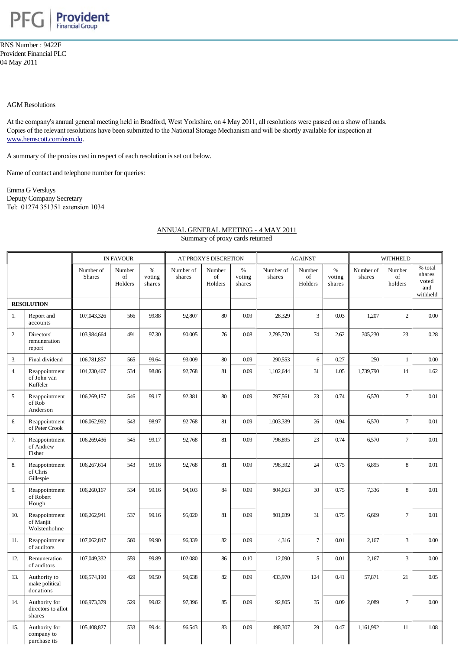

RNS Number : 9422F Provident Financial PLC 04 May 2011

## AGM Resolutions

At the company's annual general meeting held in Bradford, West Yorkshire, on 4 May 2011, all resolutions were passed on a show of hands. [Copies of the relevant resolu](http://www.hemscott.com/nsm.do)tions have been submitted to the National Storage Mechanism and will be shortly available for inspection at www.hemscott.com/nsm.do.

A summary of the proxies cast in respect of each resolution is set out below.

Name of contact and telephone number for queries:

Emma G Versluys Deputy Company Secretary Tel: 01274 351351 extension 1034

## ANNUAL GENERAL MEETING - 4 MAY 2011 Summary of proxy cards returned

|                   |                                               | <b>IN FAVOUR</b>           |                         |                          | AT PROXY'S DISCRETION |                         |                          | <b>AGAINST</b>      |                         |                          | <b>WITHHELD</b>     |                         |                                               |
|-------------------|-----------------------------------------------|----------------------------|-------------------------|--------------------------|-----------------------|-------------------------|--------------------------|---------------------|-------------------------|--------------------------|---------------------|-------------------------|-----------------------------------------------|
|                   |                                               | Number of<br><b>Shares</b> | Number<br>of<br>Holders | $\%$<br>voting<br>shares | Number of<br>shares   | Number<br>of<br>Holders | $\%$<br>voting<br>shares | Number of<br>shares | Number<br>of<br>Holders | $\%$<br>voting<br>shares | Number of<br>shares | Number<br>of<br>holders | % total<br>shares<br>voted<br>and<br>withheld |
| <b>RESOLUTION</b> |                                               |                            |                         |                          |                       |                         |                          |                     |                         |                          |                     |                         |                                               |
| 1.                | Report and<br>accounts                        | 107,043,326                | 566                     | 99.88                    | 92,807                | 80                      | 0.09                     | 28,329              | 3                       | 0.03                     | 1,207               | $\overline{c}$          | 0.00                                          |
| 2.                | Directors'<br>remuneration<br>report          | 103,984,664                | 491                     | 97.30                    | 90,005                | 76                      | 0.08                     | 2,795,770           | 74                      | 2.62                     | 305,230             | 23                      | 0.28                                          |
| 3.                | Final dividend                                | 106,781,857                | 565                     | 99.64                    | 93,009                | 80                      | 0.09                     | 290,553             | 6                       | 0.27                     | 250                 | $\,1\,$                 | 0.00                                          |
| 4.                | Reappointment<br>of John van<br>Kuffeler      | 104,230,467                | 534                     | 98.86                    | 92,768                | 81                      | 0.09                     | 1,102,644           | 31                      | 1.05                     | 1,739,790           | 14                      | 1.62                                          |
| 5.                | Reappointment<br>of Rob<br>Anderson           | 106,269,157                | 546                     | 99.17                    | 92,381                | 80                      | 0.09                     | 797,561             | 23                      | 0.74                     | 6,570               | $\tau$                  | 0.01                                          |
| 6.                | Reappointment<br>of Peter Crook               | 106,062,992                | 543                     | 98.97                    | 92,768                | 81                      | 0.09                     | 1,003,339           | 26                      | 0.94                     | 6,570               | $\overline{7}$          | 0.01                                          |
| 7.                | Reappointment<br>of Andrew<br>Fisher          | 106,269,436                | 545                     | 99.17                    | 92,768                | 81                      | 0.09                     | 796,895             | 23                      | 0.74                     | 6,570               | $\overline{7}$          | 0.01                                          |
| 8.                | Reappointment<br>of Chris<br>Gillespie        | 106,267,614                | 543                     | 99.16                    | 92,768                | 81                      | 0.09                     | 798,392             | 24                      | 0.75                     | 6,895               | 8                       | 0.01                                          |
| 9.                | Reappointment<br>of Robert<br>Hough           | 106,260,167                | 534                     | 99.16                    | 94,103                | 84                      | 0.09                     | 804,063             | 30                      | 0.75                     | 7,336               | 8                       | 0.01                                          |
| 10.               | Reappointment<br>of Manjit<br>Wolstenholme    | 106,262,941                | 537                     | 99.16                    | 95,020                | 81                      | 0.09                     | 801,039             | 31                      | 0.75                     | 6,669               | $\tau$                  | 0.01                                          |
| 11.               | Reappointment<br>of auditors                  | 107,062,847                | 560                     | 99.90                    | 96,339                | 82                      | 0.09                     | 4,316               | $\tau$                  | 0.01                     | 2,167               | 3                       | 0.00                                          |
| 12.               | Remuneration<br>of auditors                   | 107,049,332                | 559                     | 99.89                    | 102,080               | 86                      | 0.10                     | 12,090              | 5                       | 0.01                     | 2,167               | 3                       | 0.00                                          |
| 13.               | Authority to<br>make political<br>donations   | 106,574,190                | 429                     | 99.50                    | 99,638                | 82                      | 0.09                     | 433,970             | 124                     | 0.41                     | 57,871              | 21                      | 0.05                                          |
| 14.               | Authority for<br>directors to allot<br>shares | 106,973,379                | 529                     | 99.82                    | 97,396                | 85                      | 0.09                     | 92,805              | 35                      | 0.09                     | 2,089               | $\tau$                  | 0.00                                          |
| 15.               | Authority for<br>company to<br>purchase its   | 105,408,827                | 533                     | 99.44                    | 96,543                | 83                      | 0.09                     | 498,307             | 29                      | 0.47                     | 1,161,992           | 11                      | 1.08                                          |